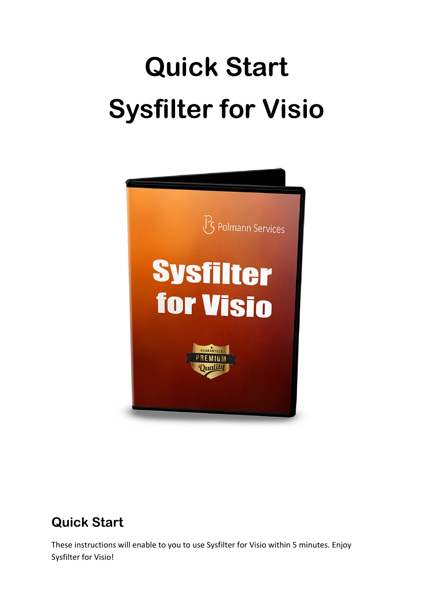# **Quick Start Sysfilter for Visio**



# **Quick Start**

These instructions will enable to you to use Sysfilter for Visio within 5 minutes. Enjoy Sysfilter for Visio!